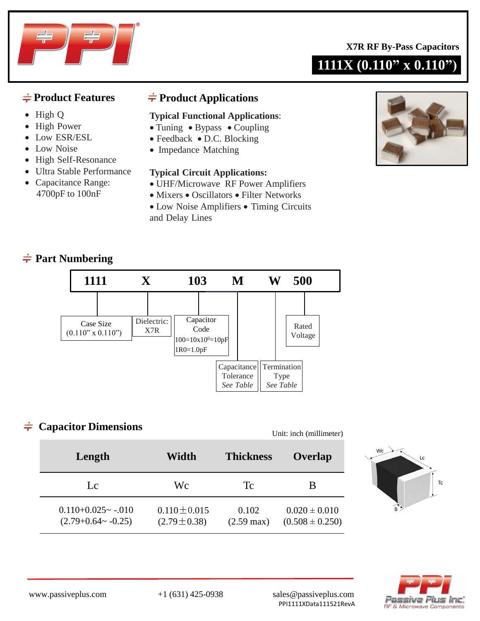

- High Q
- High Power
- Low ESR/ESL
- Low Noise
- High Self-Resonance
- Ultra Stable Performance
- Capacitance Range: 4700pF to 100nF

# $\frac{1}{\sqrt{2}}$  **Product Features** → **Product Applications**

#### **Typical Functional Applications**:

- Tuning Bypass Coupling
- Feedback D.C. Blocking
- Impedance Matching

#### **Typical Circuit Applications:**

- UHF/Microwave RF Power Amplifiers
- Mixers Oscillators Filter Networks
- Low Noise Amplifiers Timing Circuits and Delay Lines



# **Part Numbering**



# **Capacitor Dimensions**

Unit: inch (millimeter)

| Length                                               | Width                                  | <b>Thickness</b><br>Overlap   |                                          |
|------------------------------------------------------|----------------------------------------|-------------------------------|------------------------------------------|
| Lc                                                   | Wс                                     | Tc                            | В                                        |
| $0.110+0.025$ ~ $-0.010$<br>$(2.79+0.64 \sim -0.25)$ | $0.110 \pm 0.015$<br>$(2.79 \pm 0.38)$ | 0.102<br>$(2.59 \text{ max})$ | $0.020 \pm 0.010$<br>$(0.508 \pm 0.250)$ |





**1111X (0.110" x 0.110")**

www.passiveplus.com +1 (631) 425-0938 sales@passiveplus.com PPI1111XData111521RevA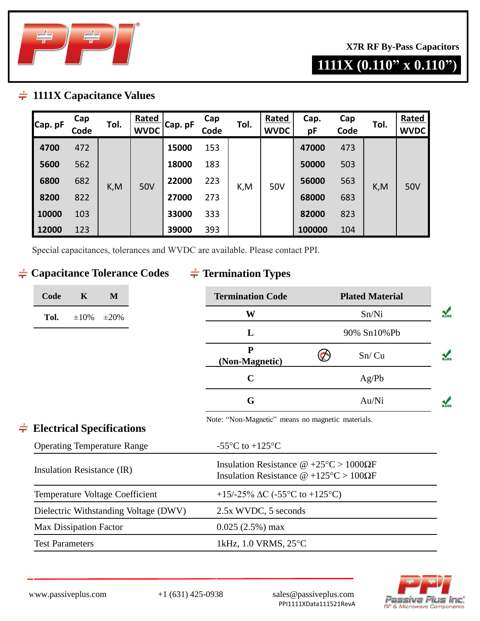

**X7R RF By-Pass Capacitors**

# **1111X (0.110" x 0.110")**

## **1111X Capacitance Values**

| Cap. pF | Cap<br>Code | Tol. | Rated<br><b>WVDC</b> | Cap. pF | Cap<br>Code | Tol. | Rated<br><b>WVDC</b> | Cap.<br>рF | Cap<br>Code | Tol. | Rated<br><b>WVDC</b> |
|---------|-------------|------|----------------------|---------|-------------|------|----------------------|------------|-------------|------|----------------------|
| 4700    | 472         | K, M | <b>50V</b>           | 15000   | 153         | K,M  | 50V                  | 47000      | 473         | K,M  | 50V                  |
| 5600    | 562         |      |                      | 18000   | 183         |      |                      | 50000      | 503         |      |                      |
| 6800    | 682         |      |                      | 22000   | 223         |      |                      | 56000      | 563         |      |                      |
| 8200    | 822         |      |                      | 27000   | 273         |      |                      | 68000      | 683         |      |                      |
| 10000   | 103         |      |                      | 33000   | 333         |      |                      | 82000      | 823         |      |                      |
| 12000   | 123         |      |                      | 39000   | 393         |      |                      | 100000     | 104         |      |                      |

Special capacitances, tolerances and WVDC are available. Please contact PPI.

# $\div$  **Capacitance Tolerance Codes**

# **Termination Types**

| Code | K          | M                                  | <b>Termination Code</b>                                                                                       | <b>Plated Material</b> |  |
|------|------------|------------------------------------|---------------------------------------------------------------------------------------------------------------|------------------------|--|
| Tol. | $\pm 10\%$ | $\pm 20\%$                         | W                                                                                                             | Sn/Ni                  |  |
|      |            |                                    | L                                                                                                             | 90% Sn10%Pb            |  |
|      |            |                                    | ${\bf P}$<br>(Non-Magnetic)                                                                                   | Sn/Cu                  |  |
|      |            |                                    | $\mathbf C$                                                                                                   | Ag/Pb                  |  |
|      |            |                                    | G                                                                                                             | Au/Ni                  |  |
|      |            | <b>Electrical Specifications</b>   | Note: "Non-Magnetic" means no magnetic materials.                                                             |                        |  |
|      |            | <b>Operating Temperature Range</b> | -55 $\mathrm{^{\circ}C}$ to +125 $\mathrm{^{\circ}C}$                                                         |                        |  |
|      |            | Insulation Resistance (IR)         | Insulation Resistance $\omega$ +25°C > 1000 $\Omega$ F<br>Inculation Decistance $\mathcal{Q}$ + 1050C > 1000E |                        |  |

| Insulation Resistance (IR)            | Insulation Resistance $\omega$ +125°C > 100 $\Omega$ F |  |  |
|---------------------------------------|--------------------------------------------------------|--|--|
| Temperature Voltage Coefficient       | +15/-25% $\Delta C$ (-55°C to +125°C)                  |  |  |
| Dielectric Withstanding Voltage (DWV) | 2.5x WVDC, 5 seconds                                   |  |  |
| Max Dissipation Factor                | $0.025(2.5%)$ max                                      |  |  |
| <b>Test Parameters</b>                | 1kHz, $1.0$ VRMS, $25^{\circ}$ C                       |  |  |
|                                       |                                                        |  |  |



 $\frac{1}{\sqrt{2}}$ 

PPI1111XData111521RevA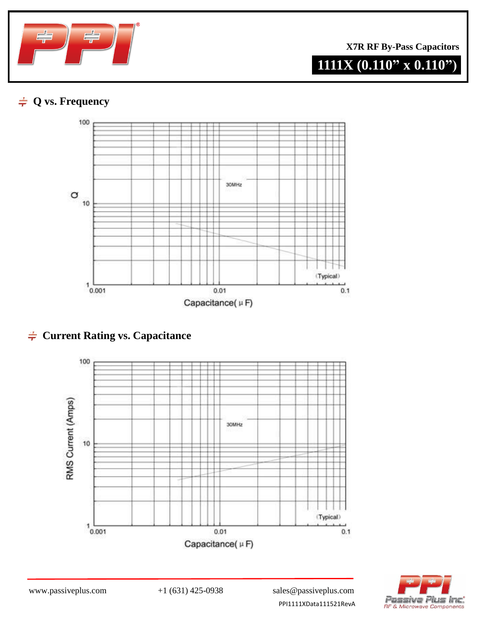

**X7R RF By-Pass Capacitors**

# **1111X (0.110" x 0.110")**

# **Q vs. Frequency**



# $\div$  **Current Rating vs. Capacitance**





PPI1111XData111521RevA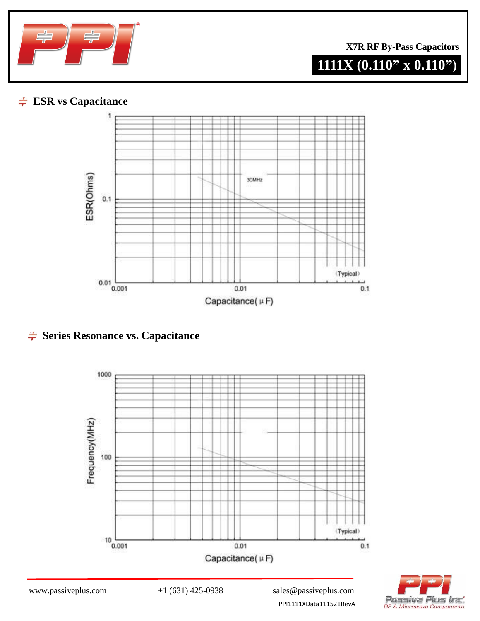

**X7R RF By-Pass Capacitors**

# **1111X (0.110" x 0.110")**

# **ESR vs Capacitance**



# $\div$  **Series Resonance vs. Capacitance**





PPI1111XData111521RevA